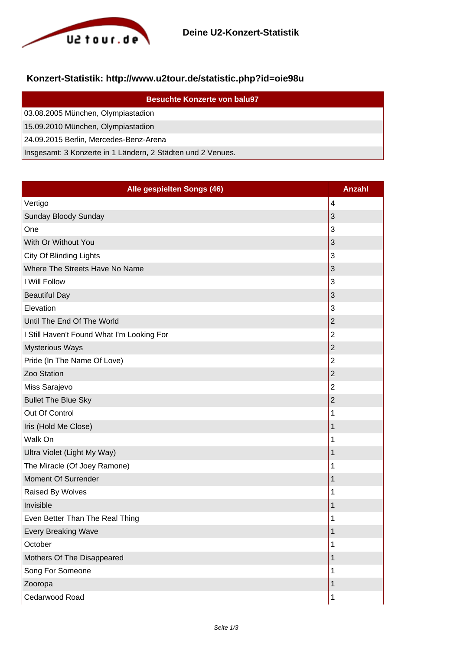

## **Konzert-Statistik: http://www.u2tour.de/statistic.php?id=oie98u**

| <b>Besuchte Konzerte von balu97</b>                         |
|-------------------------------------------------------------|
| 03.08.2005 München, Olympiastadion                          |
| 15.09.2010 München, Olympiastadion                          |
| 24.09.2015 Berlin, Mercedes-Benz-Arena                      |
| Insgesamt: 3 Konzerte in 1 Ländern, 2 Städten und 2 Venues. |

| Alle gespielten Songs (46)                 | <b>Anzahl</b>  |
|--------------------------------------------|----------------|
| Vertigo                                    | 4              |
| Sunday Bloody Sunday                       | 3              |
| One                                        | 3              |
| With Or Without You                        | 3              |
| City Of Blinding Lights                    | 3              |
| Where The Streets Have No Name             | 3              |
| I Will Follow                              | 3              |
| <b>Beautiful Day</b>                       | 3              |
| Elevation                                  | 3              |
| Until The End Of The World                 | $\overline{2}$ |
| I Still Haven't Found What I'm Looking For | $\overline{2}$ |
| <b>Mysterious Ways</b>                     | $\overline{2}$ |
| Pride (In The Name Of Love)                | $\overline{2}$ |
| Zoo Station                                | $\overline{2}$ |
| Miss Sarajevo                              | $\overline{2}$ |
| <b>Bullet The Blue Sky</b>                 | $\overline{2}$ |
| Out Of Control                             | 1              |
| Iris (Hold Me Close)                       | 1              |
| Walk On                                    | 1              |
| Ultra Violet (Light My Way)                | 1              |
| The Miracle (Of Joey Ramone)               | 1              |
| Moment Of Surrender                        | 1              |
| Raised By Wolves                           | 1              |
| Invisible                                  | 1              |
| Even Better Than The Real Thing            | 1              |
| <b>Every Breaking Wave</b>                 | 1              |
| October                                    | 1              |
| Mothers Of The Disappeared                 | 1              |
| Song For Someone                           | 1              |
| Zooropa                                    | $\mathbf 1$    |
| Cedarwood Road                             | $\mathbf 1$    |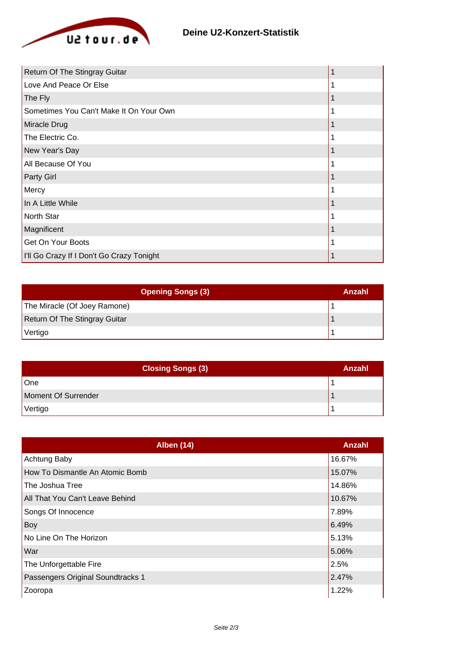

| Return Of The Stingray Guitar             |  |
|-------------------------------------------|--|
| Love And Peace Or Else                    |  |
| The Fly                                   |  |
| Sometimes You Can't Make It On Your Own   |  |
| Miracle Drug                              |  |
| The Electric Co.                          |  |
| New Year's Day                            |  |
| All Because Of You                        |  |
| Party Girl                                |  |
| Mercy                                     |  |
| In A Little While                         |  |
| North Star                                |  |
| Magnificent                               |  |
| Get On Your Boots                         |  |
| I'll Go Crazy If I Don't Go Crazy Tonight |  |

| <b>Opening Songs (3)</b>      | Anzahl |
|-------------------------------|--------|
| The Miracle (Of Joey Ramone)  |        |
| Return Of The Stingray Guitar |        |
| Vertigo                       |        |

| <b>Closing Songs (3)</b> | Anzahl |
|--------------------------|--------|
| One                      |        |
| Moment Of Surrender      |        |
| Vertigo                  |        |

| <b>Alben (14)</b>                 | Anzahl |
|-----------------------------------|--------|
| Achtung Baby                      | 16.67% |
| How To Dismantle An Atomic Bomb   | 15.07% |
| The Joshua Tree                   | 14.86% |
| All That You Can't Leave Behind   | 10.67% |
| Songs Of Innocence                | 7.89%  |
| Boy                               | 6.49%  |
| No Line On The Horizon            | 5.13%  |
| War                               | 5.06%  |
| The Unforgettable Fire            | 2.5%   |
| Passengers Original Soundtracks 1 | 2.47%  |
| Zooropa                           | 1.22%  |